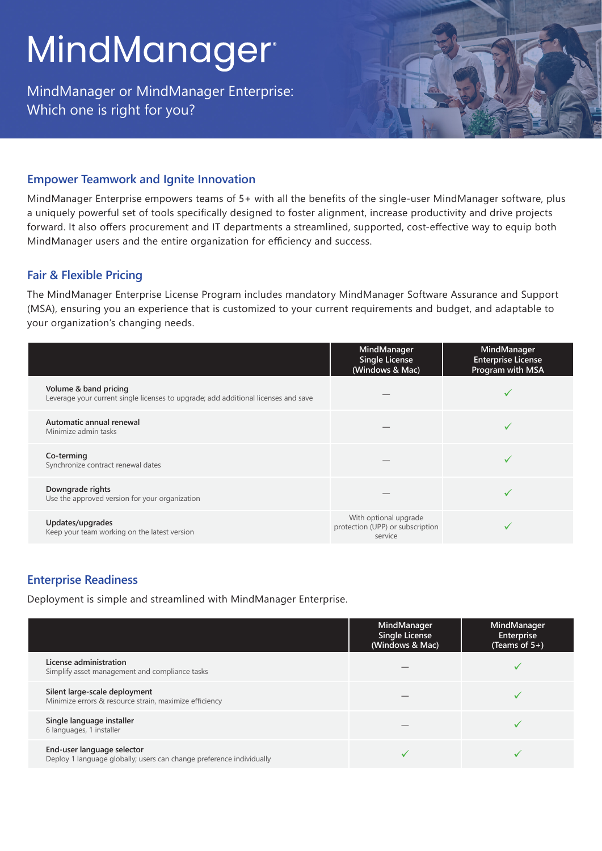# MindManager<sup>®</sup>

MindManager or MindManager Enterprise: Which one is right for you?

### **Empower Teamwork and Ignite Innovation**

MindManager Enterprise empowers teams of 5+ with all the benefits of the single-user MindManager software, plus a uniquely powerful set of tools specifically designed to foster alignment, increase productivity and drive projects forward. It also offers procurement and IT departments a streamlined, supported, cost-effective way to equip both MindManager users and the entire organization for efficiency and success.

#### **Fair & Flexible Pricing**

The MindManager Enterprise License Program includes mandatory MindManager Software Assurance and Support (MSA), ensuring you an experience that is customized to your current requirements and budget, and adaptable to your organization's changing needs.

|                                                                                                             | MindManager<br>Single License<br>(Windows & Mac)                     | MindManager<br><b>Enterprise License</b><br>Program with MSA |
|-------------------------------------------------------------------------------------------------------------|----------------------------------------------------------------------|--------------------------------------------------------------|
| Volume & band pricing<br>Leverage your current single licenses to upgrade; add additional licenses and save |                                                                      |                                                              |
| Automatic annual renewal<br>Minimize admin tasks                                                            |                                                                      |                                                              |
| Co-terming<br>Synchronize contract renewal dates                                                            |                                                                      |                                                              |
| Downgrade rights<br>Use the approved version for your organization                                          |                                                                      |                                                              |
| Updates/upgrades<br>Keep your team working on the latest version                                            | With optional upgrade<br>protection (UPP) or subscription<br>service |                                                              |

## **Enterprise Readiness**

Deployment is simple and streamlined with MindManager Enterprise.

|                                                                                                    | MindManager<br><b>Single License</b><br>(Windows & Mac) | MindManager<br>Enterprise<br>(Teams of $5+$ ) |
|----------------------------------------------------------------------------------------------------|---------------------------------------------------------|-----------------------------------------------|
| License administration<br>Simplify asset management and compliance tasks                           |                                                         |                                               |
| Silent large-scale deployment<br>Minimize errors & resource strain, maximize efficiency            |                                                         |                                               |
| Single language installer<br>6 languages, 1 installer                                              |                                                         |                                               |
| End-user language selector<br>Deploy 1 language globally; users can change preference individually |                                                         |                                               |